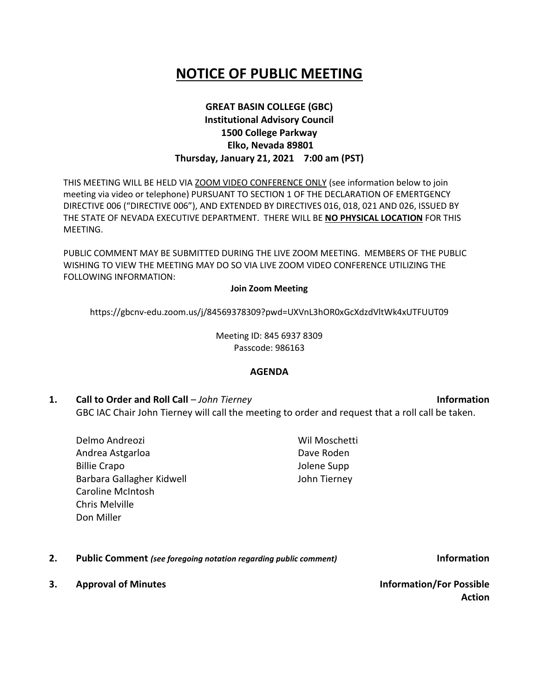# **NOTICE OF PUBLIC MEETING**

## **GREAT BASIN COLLEGE (GBC) Institutional Advisory Council 1500 College Parkway Elko, Nevada 89801 Thursday, January 21, 2021 7:00 am (PST)**

THIS MEETING WILL BE HELD VIA ZOOM VIDEO CONFERENCE ONLY (see information below to join meeting via video or telephone) PURSUANT TO SECTION 1 OF THE DECLARATION OF EMERTGENCY DIRECTIVE 006 ("DIRECTIVE 006"), AND EXTENDED BY DIRECTIVES 016, 018, 021 AND 026, ISSUED BY THE STATE OF NEVADA EXECUTIVE DEPARTMENT. THERE WILL BE **NO PHYSICAL LOCATION** FOR THIS MEETING.

PUBLIC COMMENT MAY BE SUBMITTED DURING THE LIVE ZOOM MEETING. MEMBERS OF THE PUBLIC WISHING TO VIEW THE MEETING MAY DO SO VIA LIVE ZOOM VIDEO CONFERENCE UTILIZING THE FOLLOWING INFORMATION:

#### **Join Zoom Meeting**

https://gbcnv-edu.zoom.us/j/84569378309?pwd=UXVnL3hOR0xGcXdzdVltWk4xUTFUUT09

Meeting ID: 845 6937 8309 Passcode: 986163

#### **AGENDA**

- **1. Call to Order and Roll Call** *John Tierney* **Information** GBC IAC Chair John Tierney will call the meeting to order and request that a roll call be taken.
	- Delmo Andreozi Andrea Astgarloa Billie Crapo Barbara Gallagher Kidwell Caroline McIntosh Chris Melville Don Miller Wil Moschetti
- **2. Public Comment** *(see foregoing notation regarding public comment)* **Information**
- **3. Approval of Minutes Information/For Possible**

**Action**

Dave Roden Jolene Supp John Tierney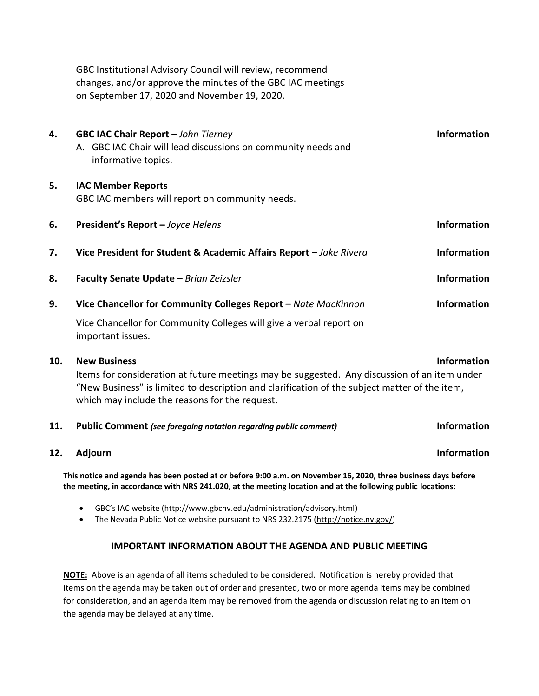GBC Institutional Advisory Council will review, recommend changes, and/or approve the minutes of the GBC IAC meetings on September 17, 2020 and November 19, 2020.

**4. GBC IAC Chair Report –** *John Tierney* **Information** A. GBC IAC Chair will lead discussions on community needs and informative topics. **5. IAC Member Reports** GBC IAC members will report on community needs. **6. President's Report –** *Joyce Helens* **Information 7. Vice President for Student & Academic Affairs Report** – *Jake Rivera* **Information 8. Faculty Senate Update** – *Brian Zeizsler* **Information 9. Vice Chancellor for Community Colleges Report** – *Nate MacKinnon* **Information** Vice Chancellor for Community Colleges will give a verbal report on important issues. **10. New Business Information**

Items for consideration at future meetings may be suggested. Any discussion of an item under "New Business" is limited to description and clarification of the subject matter of the item, which may include the reasons for the request.

**11. Public Comment** *(see foregoing notation regarding public comment)* **Information**

**12.** Adjourn **Information** 

**This notice and agenda has been posted at or before 9:00 a.m. on November 16, 2020, three business days before the meeting, in accordance with NRS 241.020, at the meeting location and at the following public locations:**

• GBC's IAC website (http://www.gbcnv.edu/administration/advisory.html)

• The Nevada Public Notice website pursuant to NRS 232.2175 [\(http://notice.nv.gov/\)](http://notice.nv.gov/)

### **IMPORTANT INFORMATION ABOUT THE AGENDA AND PUBLIC MEETING**

**NOTE:** Above is an agenda of all items scheduled to be considered. Notification is hereby provided that items on the agenda may be taken out of order and presented, two or more agenda items may be combined for consideration, and an agenda item may be removed from the agenda or discussion relating to an item on the agenda may be delayed at any time.